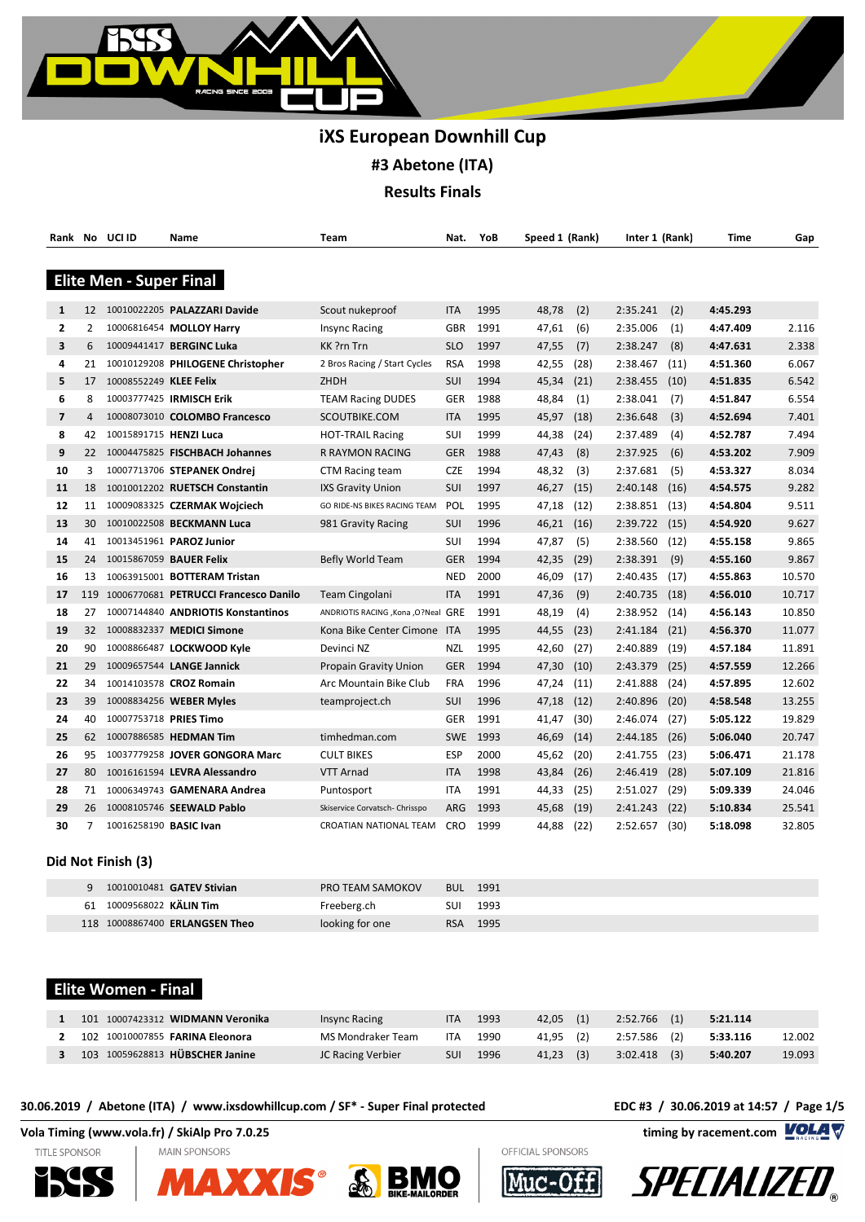

|                |                 | Rank No UCI ID                 | Name                                      | Team                                 | Nat.       | YoB  | Speed 1 (Rank) |      | Inter 1 (Rank) |      | Time     | Gap    |
|----------------|-----------------|--------------------------------|-------------------------------------------|--------------------------------------|------------|------|----------------|------|----------------|------|----------|--------|
|                |                 |                                |                                           |                                      |            |      |                |      |                |      |          |        |
|                |                 | <b>Elite Men - Super Final</b> |                                           |                                      |            |      |                |      |                |      |          |        |
| 1              |                 |                                | 12 10010022205 PALAZZARI Davide           | Scout nukeproof                      | <b>ITA</b> | 1995 | 48,78          | (2)  | 2:35.241       | (2)  | 4:45.293 |        |
| 2              | 2               |                                | 10006816454 MOLLOY Harry                  | <b>Insync Racing</b>                 | <b>GBR</b> | 1991 | 47,61          | (6)  | 2:35.006       | (1)  | 4:47.409 | 2.116  |
| 3              | 6               |                                | 10009441417 BERGINC Luka                  | KK ?rn Trn                           | <b>SLO</b> | 1997 | 47,55          | (7)  | 2:38.247       | (8)  | 4:47.631 | 2.338  |
| 4              | 21              |                                | 10010129208 PHILOGENE Christopher         | 2 Bros Racing / Start Cycles         | <b>RSA</b> | 1998 | 42,55          | (28) | 2:38.467       | (11) | 4:51.360 | 6.067  |
| 5              | 17              | 10008552249 KLEE Felix         |                                           | ZHDH                                 | SUI        | 1994 | 45,34          | (21) | 2:38.455       | (10) | 4:51.835 | 6.542  |
| 6              | 8               |                                | 10003777425 IRMISCH Erik                  | <b>TEAM Racing DUDES</b>             | GER        | 1988 | 48,84          | (1)  | 2:38.041       | (7)  | 4:51.847 | 6.554  |
| $\overline{7}$ | $\overline{4}$  |                                | 10008073010 COLOMBO Francesco             | SCOUTBIKE.COM                        | <b>ITA</b> | 1995 | 45,97          | (18) | 2:36.648       | (3)  | 4:52.694 | 7.401  |
| 8              | 42              | 10015891715 HENZI Luca         |                                           | <b>HOT-TRAIL Racing</b>              | SUI        | 1999 | 44,38          | (24) | 2:37.489       | (4)  | 4:52.787 | 7.494  |
| 9              | 22              |                                | 10004475825 FISCHBACH Johannes            | R RAYMON RACING                      | <b>GER</b> | 1988 | 47,43          | (8)  | 2:37.925       | (6)  | 4:53.202 | 7.909  |
| 10             | 3               |                                | 10007713706 STEPANEK Ondrej               | <b>CTM Racing team</b>               | <b>CZE</b> | 1994 | 48,32          | (3)  | 2:37.681       | (5)  | 4:53.327 | 8.034  |
| 11             | 18              |                                | 10010012202 RUETSCH Constantin            | IXS Gravity Union                    | SUI        | 1997 | 46,27          | (15) | 2:40.148       | (16) | 4:54.575 | 9.282  |
| 12             | 11              |                                | 10009083325 CZERMAK Wojciech              | GO RIDE-NS BIKES RACING TEAM         | POL        | 1995 | 47,18          | (12) | 2:38.851       | (13) | 4:54.804 | 9.511  |
| 13             | 30              |                                | 10010022508 BECKMANN Luca                 | 981 Gravity Racing                   | SUI        | 1996 | 46,21          | (16) | 2:39.722       | (15) | 4:54.920 | 9.627  |
| 14             | 41              |                                | 10013451961 PAROZ Junior                  |                                      | SUI        | 1994 | 47,87          | (5)  | 2:38.560       | (12) | 4:55.158 | 9.865  |
| 15             | 24              |                                | 10015867059 BAUER Felix                   | Befly World Team                     | <b>GER</b> | 1994 | 42,35          | (29) | 2:38.391       | (9)  | 4:55.160 | 9.867  |
| 16             | 13              |                                | 10063915001 <b>BOTTERAM Tristan</b>       |                                      | <b>NED</b> | 2000 | 46,09          | (17) | 2:40.435       | (17) | 4:55.863 | 10.570 |
| 17             |                 |                                | 119 10006770681 PETRUCCI Francesco Danilo | Team Cingolani                       | <b>ITA</b> | 1991 | 47,36          | (9)  | 2:40.735       | (18) | 4:56.010 | 10.717 |
| 18             | 27              |                                | 10007144840 ANDRIOTIS Konstantinos        | ANDRIOTIS RACING , Kona , O?Neal GRE |            | 1991 | 48,19          | (4)  | 2:38.952       | (14) | 4:56.143 | 10.850 |
| 19             | 32 <sup>2</sup> |                                | 10008832337 MEDICI Simone                 | Kona Bike Center Cimone ITA          |            | 1995 | 44,55          | (23) | 2:41.184       | (21) | 4:56.370 | 11.077 |
| 20             | 90              |                                | 10008866487 LOCKWOOD Kyle                 | Devinci NZ                           | <b>NZL</b> | 1995 | 42,60          | (27) | 2:40.889       | (19) | 4:57.184 | 11.891 |
| 21             | 29              |                                | 10009657544 LANGE Jannick                 | Propain Gravity Union                | <b>GER</b> | 1994 | 47,30          | (10) | 2:43.379       | (25) | 4:57.559 | 12.266 |
| 22             | 34              |                                | 10014103578 CROZ Romain                   | Arc Mountain Bike Club               | <b>FRA</b> | 1996 | 47,24          | (11) | 2:41.888       | (24) | 4:57.895 | 12.602 |
| 23             | 39              |                                | 10008834256 WEBER Myles                   | teamproject.ch                       | SUI        | 1996 | 47,18          | (12) | 2:40.896       | (20) | 4:58.548 | 13.255 |
| 24             | 40              | 10007753718 PRIES Timo         |                                           |                                      | <b>GER</b> | 1991 | 41,47          | (30) | 2:46.074       | (27) | 5:05.122 | 19.829 |
| 25             | 62              |                                | 10007886585 HEDMAN Tim                    | timhedman.com                        | <b>SWE</b> | 1993 | 46,69          | (14) | 2:44.185       | (26) | 5:06.040 | 20.747 |
| 26             | 95              |                                | 10037779258 JOVER GONGORA Marc            | <b>CULT BIKES</b>                    | ESP        | 2000 | 45,62          | (20) | 2:41.755       | (23) | 5:06.471 | 21.178 |
| 27             | 80              |                                | 10016161594 LEVRA Alessandro              | VTT Arnad                            | <b>ITA</b> | 1998 | 43,84          | (26) | 2:46.419       | (28) | 5:07.109 | 21.816 |
| 28             | 71              |                                | 10006349743 GAMENARA Andrea               | Puntosport                           | ITA        | 1991 | 44,33          | (25) | 2:51.027       | (29) | 5:09.339 | 24.046 |
| 29             | 26              |                                | 10008105746 SEEWALD Pablo                 | Skiservice Corvatsch- Chrisspo       | ARG        | 1993 | 45,68          | (19) | 2:41.243       | (22) | 5:10.834 | 25.541 |
| 30             | 7               | 10016258190 BASIC Ivan         |                                           | <b>CROATIAN NATIONAL TEAM</b>        | <b>CRO</b> | 1999 | 44,88          | (22) | 2:52.657       | (30) | 5:18.098 | 32.805 |

### **Did Not Finish (3)**

|    | 10010010481 <b>GATEV Stivian</b> | PRO TEAM SAMOKOV |     | <b>BUL 1991</b> |
|----|----------------------------------|------------------|-----|-----------------|
| 61 | 10009568022 KÄLIN Tim            | Freeberg.ch      | SUI | 1993            |
|    | 118 10008867400 ERLANGSEN Theo   | looking for one  |     | RSA 1995        |

# **Elite Women - Final**

| 101 10007423312 WIDMANN Veronika       | Insync Racing     | ITA        | 1993 | 42.05 (1)   | 2:52.766 (1)   | 5:21.114 |        |
|----------------------------------------|-------------------|------------|------|-------------|----------------|----------|--------|
| 102 10010007855 <b>FARINA Eleonora</b> | MS Mondraker Team | <b>ITA</b> | 1990 | 41.95 (2)   | 2:57.586 (2)   | 5:33.116 | 12.002 |
| 103 10059628813 HÜBSCHER Janine        | JC Racing Verbier | SUI        | 1996 | $41.23$ (3) | $3:02.418$ (3) | 5:40.207 | 19.093 |

### **30.06.2019 / Abetone (ITA) / www.ixsdowhillcup.com / SF\* - Super Final protected EDC #3 / 30.06.2019 at 14:57 / Page 1/5**









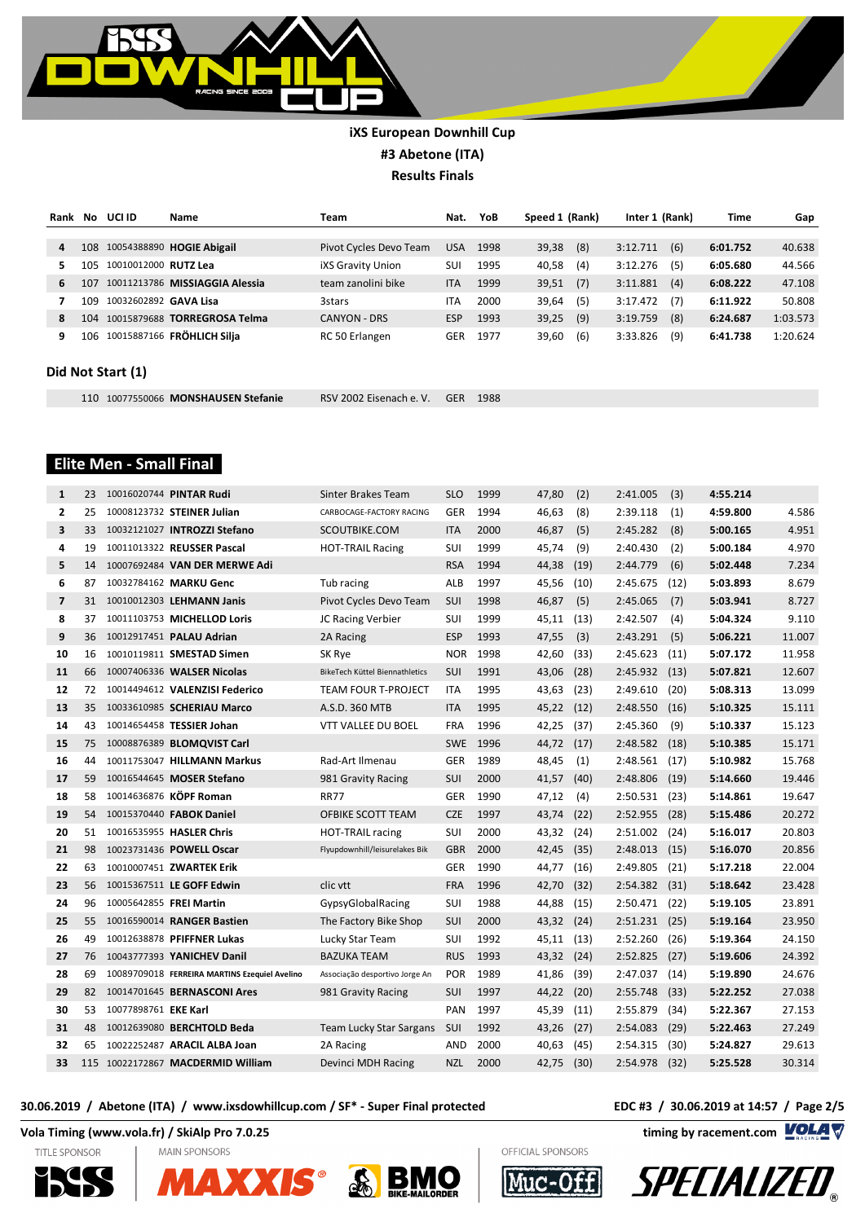

| Rank | No  | UCI ID                       | Name                           | Team                     | Nat.       | YoB  | Speed 1 (Rank) |     | Inter 1 (Rank) |     | Time     | Gap      |
|------|-----|------------------------------|--------------------------------|--------------------------|------------|------|----------------|-----|----------------|-----|----------|----------|
|      |     |                              |                                |                          |            |      |                |     |                |     |          |          |
| 4    | 108 |                              | 10054388890 HOGIE Abigail      | Pivot Cycles Devo Team   | <b>USA</b> | 1998 | 39,38          | (8) | 3:12.711       | (6) | 6:01.752 | 40.638   |
| 5.   | 105 | 10010012000 RUTZ Lea         |                                | <b>iXS Gravity Union</b> | SUI        | 1995 | 40.58          | (4) | 3:12.276       | (5) | 6:05.680 | 44.566   |
| 6    | 107 |                              | 10011213786 MISSIAGGIA Alessia | team zanolini bike       | <b>ITA</b> | 1999 | 39,51          | (7) | 3:11.881       | (4) | 6:08.222 | 47.108   |
|      | 109 | 10032602892 <b>GAVA Lisa</b> |                                | <b>3stars</b>            | <b>ITA</b> | 2000 | 39,64          | (5) | 3:17.472       | (7) | 6:11.922 | 50.808   |
| 8    | 104 |                              | 10015879688 TORREGROSA Telma   | <b>CANYON - DRS</b>      | <b>ESP</b> | 1993 | 39,25          | (9) | 3:19.759       | (8) | 6:24.687 | 1:03.573 |
| 9    | 106 |                              | 10015887166 FRÖHLICH Silia     | RC 50 Erlangen           | GER        | 1977 | 39,60          | (6) | 3:33.826       | (9) | 6:41.738 | 1:20.624 |

### **Did Not Start (1)**

10077550066 **MONSHAUSEN Stefanie** RSV 2002 Eisenach e. V. GER 1988

# **Elite Men - Small Final**

| $\mathbf{1}$   | 23 | 10016020744 PINTAR Rudi                       | Sinter Brakes Team             | <b>SLO</b> | 1999     | 47,80      | (2)  | 2:41.005        | (3)  | 4:55.214 |        |
|----------------|----|-----------------------------------------------|--------------------------------|------------|----------|------------|------|-----------------|------|----------|--------|
| $\mathbf{2}$   | 25 | 10008123732 STEINER Julian                    | CARBOCAGE-FACTORY RACING       | <b>GER</b> | 1994     | 46,63      | (8)  | 2:39.118        | (1)  | 4:59.800 | 4.586  |
| 3              | 33 | 10032121027 INTROZZI Stefano                  | SCOUTBIKE.COM                  | <b>ITA</b> | 2000     | 46,87      | (5)  | 2:45.282        | (8)  | 5:00.165 | 4.951  |
| 4              | 19 | 10011013322 REUSSER Pascal                    | <b>HOT-TRAIL Racing</b>        | SUI        | 1999     | 45,74      | (9)  | 2:40.430        | (2)  | 5:00.184 | 4.970  |
| 5              | 14 | 10007692484 VAN DER MERWE Adi                 |                                | <b>RSA</b> | 1994     | 44,38      | (19) | 2:44.779        | (6)  | 5:02.448 | 7.234  |
| 6              | 87 | 10032784162 MARKU Genc                        | Tub racing                     | <b>ALB</b> | 1997     | 45,56      | (10) | 2:45.675        | (12) | 5:03.893 | 8.679  |
| $\overline{7}$ | 31 | 10010012303 LEHMANN Janis                     | Pivot Cycles Devo Team         | SUI        | 1998     | 46,87      | (5)  | 2:45.065        | (7)  | 5:03.941 | 8.727  |
| 8              | 37 | 10011103753 MICHELLOD Loris                   | JC Racing Verbier              | SUI        | 1999     | 45,11      | (13) | 2:42.507        | (4)  | 5:04.324 | 9.110  |
| 9              | 36 | 10012917451 PALAU Adrian                      | 2A Racing                      | <b>ESP</b> | 1993     | 47,55      | (3)  | 2:43.291        | (5)  | 5:06.221 | 11.007 |
| 10             | 16 | 10010119811 SMESTAD Simen                     | SK Rye                         | <b>NOR</b> | 1998     | 42,60      | (33) | 2:45.623        | (11) | 5:07.172 | 11.958 |
| 11             | 66 | 10007406336 WALSER Nicolas                    | BikeTech Küttel Biennathletics | SUI        | 1991     | 43,06      | (28) | $2:45.932$ (13) |      | 5:07.821 | 12.607 |
| 12             | 72 | 10014494612 VALENZISI Federico                | <b>TEAM FOUR T-PROJECT</b>     | <b>ITA</b> | 1995     | 43,63      | (23) | 2:49.610        | (20) | 5:08.313 | 13.099 |
| 13             | 35 | 10033610985 SCHERIAU Marco                    | A.S.D. 360 MTB                 | <b>ITA</b> | 1995     | 45,22      | (12) | 2:48.550        | (16) | 5:10.325 | 15.111 |
| 14             | 43 | 10014654458 TESSIER Johan                     | VTT VALLEE DU BOEL             | <b>FRA</b> | 1996     | 42,25      | (37) | 2:45.360        | (9)  | 5:10.337 | 15.123 |
| 15             | 75 | 10008876389 BLOMQVIST Carl                    |                                |            | SWE 1996 | 44,72 (17) |      | 2:48.582        | (18) | 5:10.385 | 15.171 |
| 16             | 44 | 10011753047 HILLMANN Markus                   | Rad-Art Ilmenau                | <b>GER</b> | 1989     | 48,45      | (1)  | 2:48.561        | (17) | 5:10.982 | 15.768 |
| 17             | 59 | 10016544645 MOSER Stefano                     | 981 Gravity Racing             | SUI        | 2000     | 41,57      | (40) | 2:48.806        | (19) | 5:14.660 | 19.446 |
| 18             | 58 | 10014636876 KÖPF Roman                        | <b>RR77</b>                    | <b>GER</b> | 1990     | 47,12      | (4)  | 2:50.531        | (23) | 5:14.861 | 19.647 |
| 19             | 54 | 10015370440 FABOK Daniel                      | OFBIKE SCOTT TEAM              | <b>CZE</b> | 1997     | 43,74      | (22) | 2:52.955        | (28) | 5:15.486 | 20.272 |
| 20             | 51 | 10016535955 HASLER Chris                      | <b>HOT-TRAIL racing</b>        | SUI        | 2000     | 43,32      | (24) | 2:51.002        | (24) | 5:16.017 | 20.803 |
| 21             | 98 | 10023731436 POWELL Oscar                      | Flyupdownhill/leisurelakes Bik | <b>GBR</b> | 2000     | 42,45      | (35) | 2:48.013        | (15) | 5:16.070 | 20.856 |
| 22             | 63 | 10010007451 ZWARTEK Erik                      |                                | <b>GER</b> | 1990     | 44,77      | (16) | 2:49.805        | (21) | 5:17.218 | 22.004 |
| 23             | 56 | 10015367511 LE GOFF Edwin                     | clic vtt                       | <b>FRA</b> | 1996     | 42,70      | (32) | 2:54.382        | (31) | 5:18.642 | 23.428 |
| 24             | 96 | 10005642855 FREI Martin                       | GypsyGlobalRacing              | SUI        | 1988     | 44,88      | (15) | 2:50.471        | (22) | 5:19.105 | 23.891 |
| 25             | 55 | 10016590014 RANGER Bastien                    | The Factory Bike Shop          | SUI        | 2000     | 43,32      | (24) | 2:51.231        | (25) | 5:19.164 | 23.950 |
| 26             | 49 | 10012638878 PFIFFNER Lukas                    | Lucky Star Team                | SUI        | 1992     | 45,11      | (13) | 2:52.260        | (26) | 5:19.364 | 24.150 |
| 27             | 76 | 10043777393 YANICHEV Danil                    | <b>BAZUKA TEAM</b>             | <b>RUS</b> | 1993     | 43,32      | (24) | 2:52.825        | (27) | 5:19.606 | 24.392 |
| 28             | 69 | 10089709018 FERREIRA MARTINS Ezequiel Avelino | Associação desportivo Jorge An | <b>POR</b> | 1989     | 41,86      | (39) | 2:47.037        | (14) | 5:19.890 | 24.676 |
| 29             | 82 | 10014701645 BERNASCONI Ares                   | 981 Gravity Racing             | SUI        | 1997     | 44,22      | (20) | 2:55.748        | (33) | 5:22.252 | 27.038 |
| 30             | 53 | 10077898761 EKE Karl                          |                                | PAN        | 1997     | 45,39      | (11) | 2:55.879        | (34) | 5:22.367 | 27.153 |
| 31             | 48 | 10012639080 BERCHTOLD Beda                    | Team Lucky Star Sargans        | SUI        | 1992     | 43,26      | (27) | 2:54.083        | (29) | 5:22.463 | 27.249 |
| 32             | 65 | 10022252487 ARACIL ALBA Joan                  | 2A Racing                      | <b>AND</b> | 2000     | 40,63      | (45) | 2:54.315        | (30) | 5:24.827 | 29.613 |
| 33             |    | 115 10022172867 MACDERMID William             | Devinci MDH Racing             | NZL        | 2000     | 42,75      | (30) | 2:54.978        | (32) | 5:25.528 | 30.314 |

### **30.06.2019 / Abetone (ITA) / www.ixsdowhillcup.com / SF\* - Super Final protected EDC #3 / 30.06.2019 at 14:57 / Page 2/5**











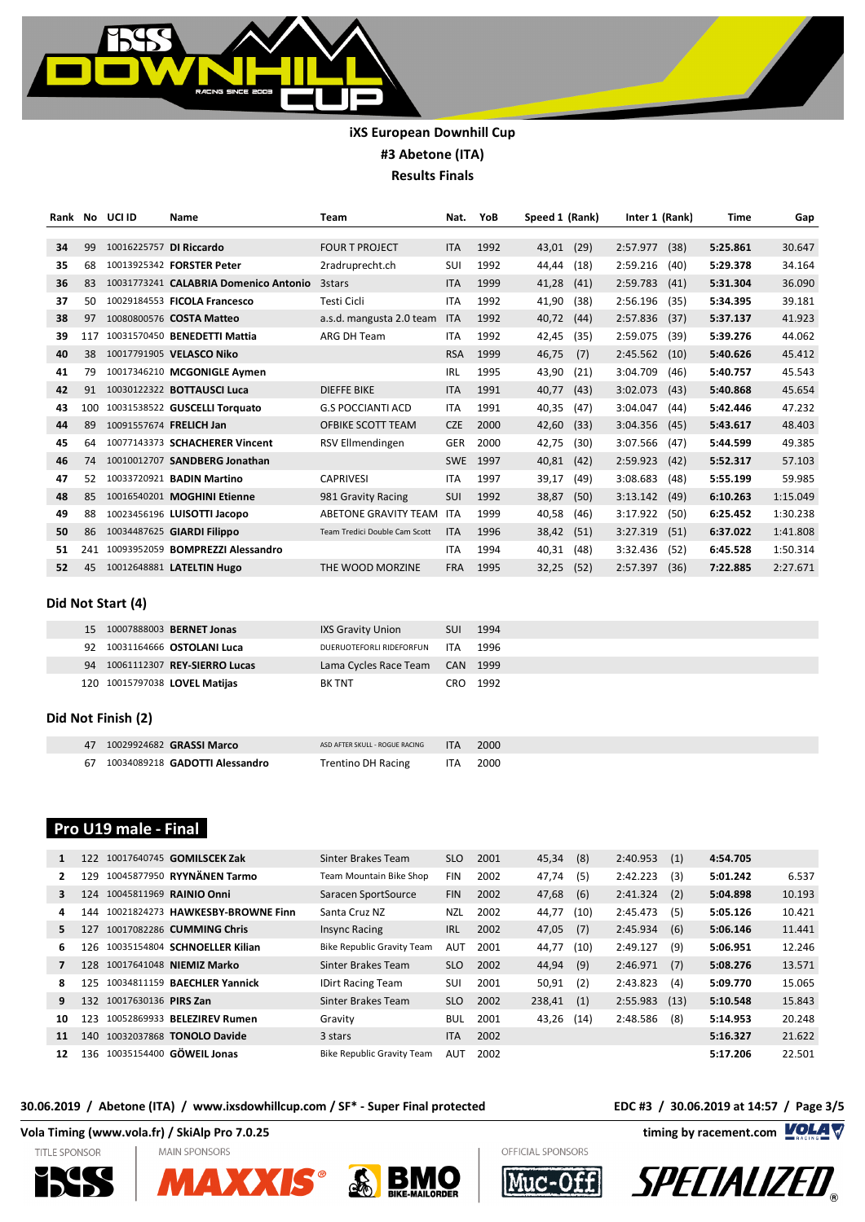

| Rank | No. | UCI ID | Name                                  | <b>Team</b>                   | Nat.       | YoB  | Speed 1 (Rank) |      | Inter 1 (Rank) |      | <b>Time</b> | Gap      |
|------|-----|--------|---------------------------------------|-------------------------------|------------|------|----------------|------|----------------|------|-------------|----------|
|      |     |        |                                       |                               |            |      |                |      |                |      |             |          |
| 34   | 99  |        | 10016225757 DI Riccardo               | <b>FOUR T PROJECT</b>         | <b>ITA</b> | 1992 | 43,01          | (29) | 2:57.977       | (38) | 5:25.861    | 30.647   |
| 35   | 68  |        | 10013925342 FORSTER Peter             | 2radruprecht.ch               | SUI        | 1992 | 44,44          | (18) | 2:59.216       | (40) | 5:29.378    | 34.164   |
| 36   | 83  |        | 10031773241 CALABRIA Domenico Antonio | 3stars                        | <b>ITA</b> | 1999 | 41,28          | (41) | 2:59.783       | (41) | 5:31.304    | 36.090   |
| 37   | 50  |        | 10029184553 FICOLA Francesco          | Testi Cicli                   | <b>ITA</b> | 1992 | 41,90          | (38) | 2:56.196       | (35) | 5:34.395    | 39.181   |
| 38   | 97  |        | 10080800576 COSTA Matteo              | a.s.d. mangusta 2.0 team      | <b>ITA</b> | 1992 | 40,72          | (44) | 2:57.836       | (37) | 5:37.137    | 41.923   |
| 39   | 117 |        | 10031570450 BENEDETTI Mattia          | ARG DH Team                   | <b>ITA</b> | 1992 | 42,45          | (35) | 2:59.075       | (39) | 5:39.276    | 44.062   |
| 40   | 38  |        | 10017791905 VELASCO Niko              |                               | <b>RSA</b> | 1999 | 46,75          | (7)  | 2:45.562       | (10) | 5:40.626    | 45.412   |
| 41   | 79  |        | 10017346210 MCGONIGLE Aymen           |                               | <b>IRL</b> | 1995 | 43,90          | (21) | 3:04.709       | (46) | 5:40.757    | 45.543   |
| 42   | 91  |        | 10030122322 <b>BOTTAUSCI Luca</b>     | <b>DIEFFE BIKE</b>            | <b>ITA</b> | 1991 | 40,77          | (43) | 3:02.073       | (43) | 5:40.868    | 45.654   |
| 43   | 100 |        | 10031538522 GUSCELLI Torquato         | <b>G.S POCCIANTI ACD</b>      | <b>ITA</b> | 1991 | 40,35          | (47) | 3:04.047       | (44) | 5:42.446    | 47.232   |
| 44   | 89  |        | 10091557674 FRELICH Jan               | OFBIKE SCOTT TEAM             | <b>CZE</b> | 2000 | 42,60          | (33) | 3:04.356       | (45) | 5:43.617    | 48.403   |
| 45   | 64  |        | 10077143373 SCHACHERER Vincent        | RSV Ellmendingen              | <b>GER</b> | 2000 | 42,75          | (30) | 3:07.566       | (47) | 5:44.599    | 49.385   |
| 46   | 74  |        | 10010012707 SANDBERG Jonathan         |                               | <b>SWE</b> | 1997 | 40,81          | (42) | 2:59.923       | (42) | 5:52.317    | 57.103   |
| 47   | 52  |        | 10033720921 BADIN Martino             | <b>CAPRIVESI</b>              | <b>ITA</b> | 1997 | 39,17          | (49) | 3:08.683       | (48) | 5:55.199    | 59.985   |
| 48   | 85  |        | 10016540201 MOGHINI Etienne           | 981 Gravity Racing            | SUI        | 1992 | 38,87          | (50) | 3:13.142       | (49) | 6:10.263    | 1:15.049 |
| 49   | 88  |        | 10023456196 LUISOTTI Jacopo           | ABETONE GRAVITY TEAM          | ITA        | 1999 | 40,58          | (46) | 3:17.922       | (50) | 6:25.452    | 1:30.238 |
| 50   | 86  |        | 10034487625 GIARDI Filippo            | Team Tredici Double Cam Scott | <b>ITA</b> | 1996 | 38,42          | (51) | 3:27.319       | (51) | 6:37.022    | 1:41.808 |
| 51   | 241 |        | 10093952059 BOMPREZZI Alessandro      |                               | <b>ITA</b> | 1994 | 40,31          | (48) | 3:32.436       | (52) | 6:45.528    | 1:50.314 |
| 52   | 45  |        | 10012648881 LATELTIN Hugo             | THE WOOD MORZINE              | <b>FRA</b> | 1995 | 32,25          | (52) | 2:57.397       | (36) | 7:22.885    | 2:27.671 |

### **Did Not Start (4)**

| 15 10007888003 <b>BERNET Jonas</b> | IXS Gravity Union              |          | SUI 1994 |
|------------------------------------|--------------------------------|----------|----------|
| 10031164666 OSTOLANI Luca<br>92    | DUERUOTEFORLI RIDEFORFUN       | ITA 1996 |          |
| 94 10061112307 REY-SIERRO Lucas    | Lama Cycles Race Team CAN 1999 |          |          |
| 120 10015797038 LOVEL Matijas      | <b>BK TNT</b>                  |          | CRO 1992 |

### **Did Not Finish (2)**

| 47 10029924682 GRASSI Marco              | ASD AFTER SKULL - ROGUE RACING | <b>ITA</b> | 2000 |  |
|------------------------------------------|--------------------------------|------------|------|--|
| 67 10034089218 <b>GADOTTI Alessandro</b> | <b>Trentino DH Racing</b>      | ITA I      | 2000 |  |

# **Pro U19 male - Final**

|    | 10017640745 <b>GOMILSCEK Zak</b><br>122 | Sinter Brakes Team                | <b>SLO</b> | 2001 | 45,34  | (8)  | 2:40.953 | (1)  | 4:54.705 |        |
|----|-----------------------------------------|-----------------------------------|------------|------|--------|------|----------|------|----------|--------|
|    | 10045877950 RYYNÄNEN Tarmo<br>129       | Team Mountain Bike Shop           | <b>FIN</b> | 2002 | 47,74  | (5)  | 2:42.223 | (3)  | 5:01.242 | 6.537  |
|    | 10045811969 RAINIO Onni<br>124          | Saracen SportSource               | <b>FIN</b> | 2002 | 47,68  | (6)  | 2:41.324 | (2)  | 5:04.898 | 10.193 |
| 4  | 10021824273 HAWKESBY-BROWNE Finn<br>144 | Santa Cruz NZ                     | <b>NZL</b> | 2002 | 44,77  | (10) | 2:45.473 | (5)  | 5:05.126 | 10.421 |
| 5. | 10017082286 CUMMING Chris<br>127        | <b>Insync Racing</b>              | <b>IRL</b> | 2002 | 47,05  | (7)  | 2:45.934 | (6)  | 5:06.146 | 11.441 |
| 6  | 10035154804 SCHNOELLER Kilian<br>126.   | <b>Bike Republic Gravity Team</b> | <b>AUT</b> | 2001 | 44,77  | (10) | 2:49.127 | (9)  | 5:06.951 | 12.246 |
|    | 10017641048 NIEMIZ Marko<br>128         | Sinter Brakes Team                | <b>SLO</b> | 2002 | 44,94  | (9)  | 2:46.971 | (7)  | 5:08.276 | 13.571 |
| 8  | 10034811159 BAECHLER Yannick<br>125     | <b>IDirt Racing Team</b>          | SUI        | 2001 | 50,91  | (2)  | 2:43.823 | (4)  | 5:09.770 | 15.065 |
| 9  | 10017630136 PIRS Zan<br>132             | Sinter Brakes Team                | <b>SLO</b> | 2002 | 238,41 | (1)  | 2:55.983 | (13) | 5:10.548 | 15.843 |
| 10 | 10052869933 BELEZIREV Rumen<br>123      | Gravity                           | <b>BUL</b> | 2001 | 43,26  | (14) | 2:48.586 | (8)  | 5:14.953 | 20.248 |
| 11 | 10032037868 TONOLO Davide<br>140        | 3 stars                           | <b>ITA</b> | 2002 |        |      |          |      | 5:16.327 | 21.622 |
| 12 | 10035154400 GÖWEIL Jonas<br>136         | <b>Bike Republic Gravity Team</b> | <b>AUT</b> | 2002 |        |      |          |      | 5:17.206 | 22.501 |

### **30.06.2019 / Abetone (ITA) / www.ixsdowhillcup.com / SF\* - Super Final protected EDC #3 / 30.06.2019 at 14:57 / Page 3/5**











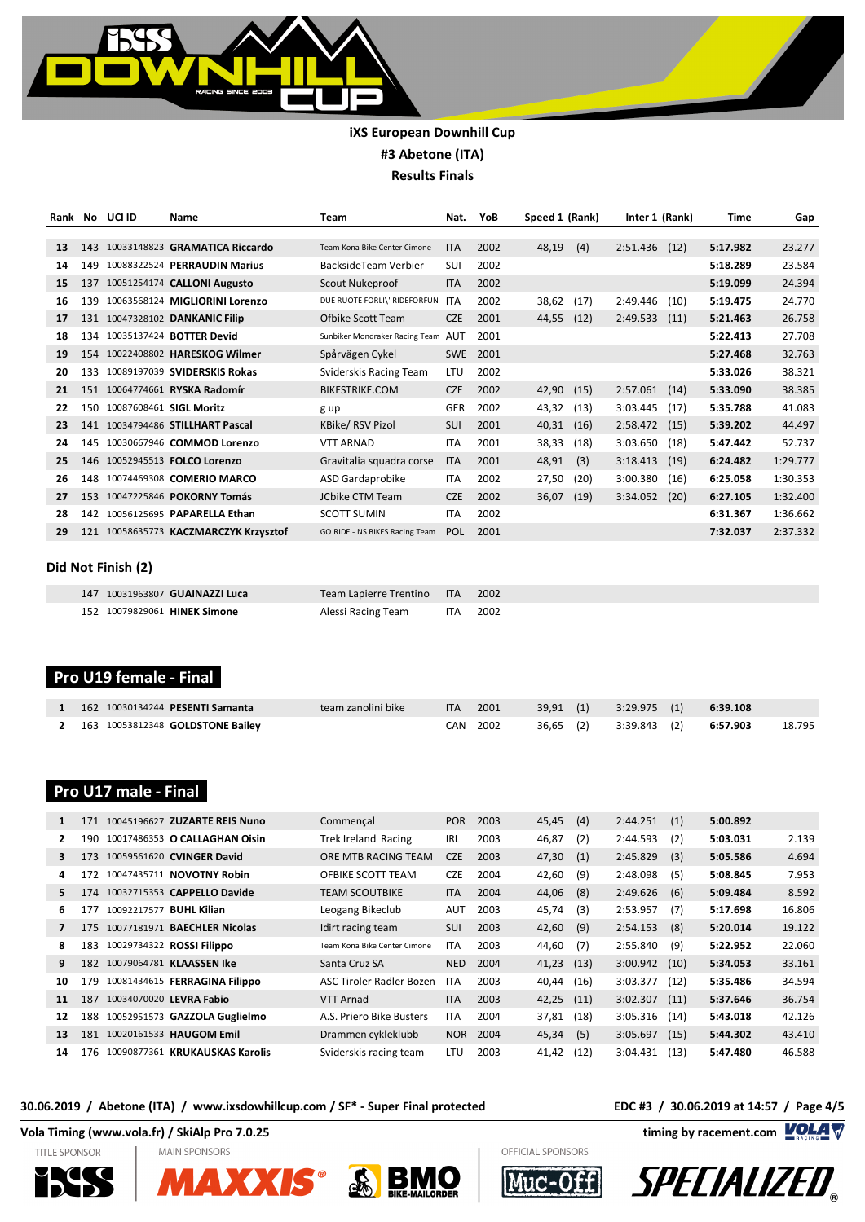

| Rank | No  | UCI ID                  | Name                              | <b>Team</b>                        | Nat.       | YoB  | Speed 1 (Rank) |      | Inter 1 (Rank) |      | <b>Time</b> | Gap      |
|------|-----|-------------------------|-----------------------------------|------------------------------------|------------|------|----------------|------|----------------|------|-------------|----------|
|      |     |                         |                                   |                                    |            |      |                |      |                |      |             |          |
| 13   | 143 |                         | 10033148823 GRAMATICA Riccardo    | Team Kona Bike Center Cimone       | <b>ITA</b> | 2002 | 48,19          | (4)  | 2:51.436       | (12) | 5:17.982    | 23.277   |
| 14   | 149 |                         | 10088322524 PERRAUDIN Marius      | BacksideTeam Verbier               | SUI        | 2002 |                |      |                |      | 5:18.289    | 23.584   |
| 15   | 137 |                         | 10051254174 CALLONI Augusto       | Scout Nukeproof                    | <b>ITA</b> | 2002 |                |      |                |      | 5:19.099    | 24.394   |
| 16   | 139 |                         | 10063568124 MIGLIORINI Lorenzo    | DUE RUOTE FORLI\' RIDEFORFUN       | <b>ITA</b> | 2002 | 38,62          | (17) | 2:49.446       | (10) | 5:19.475    | 24.770   |
| 17   |     |                         | 131 10047328102 DANKANIC Filip    | Ofbike Scott Team                  | <b>CZE</b> | 2001 | 44,55          | (12) | 2:49.533       | (11) | 5:21.463    | 26.758   |
| 18   | 134 |                         | 10035137424 BOTTER Devid          | Sunbiker Mondraker Racing Team AUT |            | 2001 |                |      |                |      | 5:22.413    | 27.708   |
| 19   |     |                         | 154 10022408802 HARESKOG Wilmer   | Spårvägen Cykel                    | <b>SWE</b> | 2001 |                |      |                |      | 5:27.468    | 32.763   |
| 20   | 133 |                         | 10089197039 SVIDERSKIS Rokas      | Sviderskis Racing Team             | LTU        | 2002 |                |      |                |      | 5:33.026    | 38.321   |
| 21   | 151 |                         | 10064774661 RYSKA Radomír         | <b>BIKESTRIKE.COM</b>              | <b>CZE</b> | 2002 | 42,90          | (15) | 2:57.061       | (14) | 5:33.090    | 38.385   |
| 22   | 150 | 10087608461 SIGL Moritz |                                   | g up                               | GER        | 2002 | 43,32          | (13) | 3:03.445       | (17) | 5:35.788    | 41.083   |
| 23   |     |                         | 141 10034794486 STILLHART Pascal  | KBike/RSV Pizol                    | SUI        | 2001 | 40,31          | (16) | 2:58.472       | (15) | 5:39.202    | 44.497   |
| 24   | 145 |                         | 10030667946 COMMOD Lorenzo        | <b>VTT ARNAD</b>                   | <b>ITA</b> | 2001 | 38,33          | (18) | 3:03.650       | (18) | 5:47.442    | 52.737   |
| 25   |     |                         | 146 10052945513 FOLCO Lorenzo     | Gravitalia squadra corse           | <b>ITA</b> | 2001 | 48,91          | (3)  | 3:18.413       | (19) | 6:24.482    | 1:29.777 |
| 26   | 148 |                         | 10074469308 COMERIO MARCO         | ASD Gardaprobike                   | <b>ITA</b> | 2002 | 27,50          | (20) | 3:00.380       | (16) | 6:25.058    | 1:30.353 |
| 27   | 153 |                         | 10047225846 POKORNY Tomás         | <b>JCbike CTM Team</b>             | <b>CZE</b> | 2002 | 36,07          | (19) | 3:34.052       | (20) | 6:27.105    | 1:32.400 |
| 28   | 142 |                         | 10056125695 PAPARELLA Ethan       | <b>SCOTT SUMIN</b>                 | <b>ITA</b> | 2002 |                |      |                |      | 6:31.367    | 1:36.662 |
| 29   | 121 |                         | 10058635773 KACZMARCZYK Krzysztof | GO RIDE - NS BIKES Racing Team     | <b>POL</b> | 2001 |                |      |                |      | 7:32.037    | 2:37.332 |
|      |     |                         |                                   |                                    |            |      |                |      |                |      |             |          |

### **Did Not Finish (2)**

| 147 10031963807 GUAINAZZI Luca | Team Lapierre Trentino ITA 2002 |          |
|--------------------------------|---------------------------------|----------|
| 152 10079829061 HINEK Simone   | Alessi Racing Team              | ITA 2002 |

# **Pro U19 female - Final**

| 1 162 10030134244 PESENTI Samanta  | team zanolini bike | ITA 2001 |  | 39,91 (1) 3:29.975 (1) 6: <b>39.108</b> |  |        |
|------------------------------------|--------------------|----------|--|-----------------------------------------|--|--------|
| 2 163 10053812348 GOLDSTONE Bailey |                    | CAN 2002 |  | 36,65 (2) 3:39.843 (2) 6:57.903         |  | 18.795 |

# **Pro U17 male - Final**

| 171                                | Commençal                    | <b>POR</b>                                                                                                                                                         | 2003 | 45,45 | (4)  | 2:44.251     | (1)  | 5:00.892 |        |
|------------------------------------|------------------------------|--------------------------------------------------------------------------------------------------------------------------------------------------------------------|------|-------|------|--------------|------|----------|--------|
| 190                                | <b>Trek Ireland Racing</b>   | <b>IRL</b>                                                                                                                                                         | 2003 | 46,87 | (2)  | 2:44.593     | (2)  | 5:03.031 | 2.139  |
| 10059561620 CVINGER David<br>173   | ORE MTB RACING TEAM          | <b>CZE</b>                                                                                                                                                         | 2003 | 47,30 | (1)  | 2:45.829     | (3)  | 5:05.586 | 4.694  |
| 10047435711 NOVOTNY Robin<br>172   | OFBIKE SCOTT TEAM            | <b>CZE</b>                                                                                                                                                         | 2004 | 42,60 | (9)  | 2:48.098     | (5)  | 5:08.845 | 7.953  |
| 10032715353 CAPPELLO Davide<br>174 | <b>TEAM SCOUTBIKE</b>        | <b>ITA</b>                                                                                                                                                         | 2004 | 44,06 | (8)  | 2:49.626     | (6)  | 5:09.484 | 8.592  |
| 10092217577 BUHL Kilian<br>177     | Leogang Bikeclub             | <b>AUT</b>                                                                                                                                                         | 2003 | 45,74 | (3)  | 2:53.957     | (7)  | 5:17.698 | 16.806 |
| 175                                | Idirt racing team            | SUI                                                                                                                                                                | 2003 | 42,60 | (9)  | 2:54.153     | (8)  | 5:20.014 | 19.122 |
| 10029734322 ROSSI Filippo<br>183   | Team Kona Bike Center Cimone | <b>ITA</b>                                                                                                                                                         | 2003 | 44,60 | (7)  | 2:55.840     | (9)  | 5:22.952 | 22.060 |
| 10079064781 KLAASSEN Ike<br>182    | Santa Cruz SA                | <b>NED</b>                                                                                                                                                         | 2004 | 41,23 |      | 3:00.942     | (10) | 5:34.053 | 33.161 |
| 179                                | ASC Tiroler Radler Bozen     | <b>ITA</b>                                                                                                                                                         | 2003 | 40,44 | (16) | 3:03.377     | (12) | 5:35.486 | 34.594 |
| 10034070020 LEVRA Fabio<br>187     | VTT Arnad                    | <b>ITA</b>                                                                                                                                                         | 2003 | 42,25 | (11) | 3:02.307     | (11) | 5:37.646 | 36.754 |
| 188                                | A.S. Priero Bike Busters     | <b>ITA</b>                                                                                                                                                         | 2004 | 37,81 |      | 3:05.316     | (14) | 5:43.018 | 42.126 |
| 181<br>10020161533 HAUGOM Emil     | Drammen cykleklubb           | <b>NOR</b>                                                                                                                                                         | 2004 | 45,34 | (5)  | 3:05.697     | (15) | 5:44.302 | 43.410 |
| 176                                | Sviderskis racing team       | LTU                                                                                                                                                                | 2003 | 41,42 | (12) | 3:04.431     | (13) | 5:47.480 | 46.588 |
|                                    | 10077181971 BAECHLER Nicolas | 10045196627 ZUZARTE REIS Nuno<br>10017486353 O CALLAGHAN Oisin<br>10081434615 FERRAGINA Filippo<br>10052951573 GAZZOLA Guglielmo<br>10090877361 KRUKAUSKAS Karolis |      |       |      | (13)<br>(18) |      |          |        |

### **30.06.2019 / Abetone (ITA) / www.ixsdowhillcup.com / SF\* - Super Final protected EDC #3 / 30.06.2019 at 14:57 / Page 4/5**